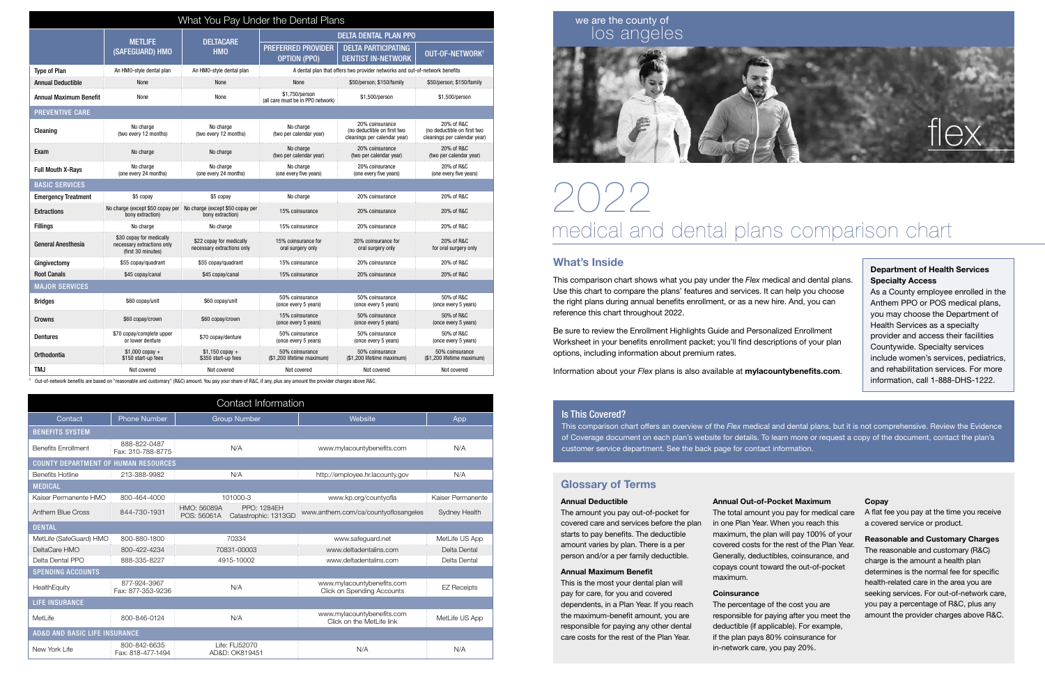| What You Pay Under the Dental Plans |                                                                                       |                                                        |                                                                             |                                                                                |                                                                           |  |  |  |
|-------------------------------------|---------------------------------------------------------------------------------------|--------------------------------------------------------|-----------------------------------------------------------------------------|--------------------------------------------------------------------------------|---------------------------------------------------------------------------|--|--|--|
|                                     |                                                                                       | <b>DELTACARE</b><br><b>HMO</b>                         | <b>DELTA DENTAL PLAN PPO</b>                                                |                                                                                |                                                                           |  |  |  |
|                                     | <b>METLIFE</b><br>(SAFEGUARD) HMO                                                     |                                                        | <b>PREFERRED PROVIDER</b><br><b>OPTION (PPO)</b>                            | <b>DELTA PARTICIPATING</b><br><b>DENTIST IN-NETWORK</b>                        | OUT-OF-NETWORK <sup>1</sup>                                               |  |  |  |
| <b>Type of Plan</b>                 | An HMO-style dental plan                                                              | An HMO-style dental plan                               | A dental plan that offers two provider networks and out-of-network benefits |                                                                                |                                                                           |  |  |  |
| <b>Annual Deductible</b>            | None                                                                                  | None                                                   | None                                                                        | \$50/person; \$150/family                                                      | \$50/person; \$150/family                                                 |  |  |  |
| Annual Maximum Benefit              | None                                                                                  | None                                                   | \$1.750/person<br>(all care must be in PPO network)                         | \$1,500/person                                                                 | \$1,500/person                                                            |  |  |  |
| <b>PREVENTIVE CARE</b>              |                                                                                       |                                                        |                                                                             |                                                                                |                                                                           |  |  |  |
| Cleaning                            | No charge<br>(two every 12 months)                                                    | No charge<br>(two every 12 months)                     | No charge<br>(two per calendar year)                                        | 20% coinsurance<br>(no deductible on first two<br>cleanings per calendar year) | 20% of R&C<br>(no deductible on first two<br>cleanings per calendar year) |  |  |  |
| Exam                                | No charge                                                                             | No charge                                              | No charge<br>(two per calendar year)                                        | 20% coinsurance<br>(two per calendar year)                                     | 20% of R&C<br>(two per calendar year)                                     |  |  |  |
| <b>Full Mouth X-Rays</b>            | No charge<br>(one every 24 months)                                                    | No charge<br>(one every 24 months)                     | No charge<br>(one every five years)                                         | 20% coinsurance<br>(one every five years)                                      | 20% of R&C<br>(one every five years)                                      |  |  |  |
| <b>BASIC SERVICES</b>               |                                                                                       |                                                        |                                                                             |                                                                                |                                                                           |  |  |  |
| <b>Emergency Treatment</b>          | \$5 copay                                                                             | \$5 copay                                              | No charge                                                                   | 20% coinsurance                                                                | 20% of R&C                                                                |  |  |  |
| <b>Extractions</b>                  | No charge (except \$50 copay per No charge (except \$50 copay per<br>bony extraction) | bony extraction)                                       | 15% coinsurance                                                             | 20% coinsurance                                                                | 20% of R&C                                                                |  |  |  |
| <b>Fillings</b>                     | No charge                                                                             | No charge                                              | 15% coinsurance                                                             | 20% coinsurance                                                                | 20% of R&C                                                                |  |  |  |
| <b>General Anesthesia</b>           | \$30 copay for medically<br>necessary extractions only<br>(first 30 minutes)          | \$22 copay for medically<br>necessary extractions only | 15% coinsurance for<br>oral surgery only                                    | 20% coinsurance for<br>oral surgery only                                       | 20% of R&C<br>for oral surgery only                                       |  |  |  |
| Gingivectomy                        | \$55 copay/quadrant                                                                   | \$55 copay/quadrant                                    | 15% coinsurance                                                             | 20% coinsurance                                                                | 20% of R&C                                                                |  |  |  |
| <b>Root Canals</b>                  | \$45 copay/canal                                                                      | \$45 copay/canal                                       | 15% coinsurance                                                             | 20% coinsurance                                                                | 20% of R&C                                                                |  |  |  |
| <b>MAJOR SERVICES</b>               |                                                                                       |                                                        |                                                                             |                                                                                |                                                                           |  |  |  |
| <b>Bridges</b>                      | \$60 copay/unit                                                                       | \$60 copay/unit                                        | 50% coinsurance<br>(once every 5 years)                                     | 50% coinsurance<br>(once every 5 years)                                        | 50% of R&C<br>(once every 5 years)                                        |  |  |  |
| Crowns                              | \$60 copay/crown                                                                      | \$60 copay/crown                                       | 15% coinsurance<br>(once every 5 years)                                     | 50% coinsurance<br>(once every 5 years)                                        | 50% of R&C<br>(once every 5 years)                                        |  |  |  |
| <b>Dentures</b>                     | \$70 copay/complete upper<br>or lower denture                                         | \$70 copay/denture                                     | 50% coinsurance<br>(once every 5 years)                                     | 50% coinsurance<br>(once every 5 years)                                        | 50% of R&C<br>(once every 5 years)                                        |  |  |  |
| Orthodontia                         | $$1,000$ copay +<br>\$150 start-up fees                                               | $$1,150$ copay +<br>\$350 start-up fees                | 50% coinsurance<br>(\$1,200 lifetime maximum)                               | 50% coinsurance<br>(\$1,200 lifetime maximum)                                  | 50% coinsurance<br>(\$1,200 lifetime maximum)                             |  |  |  |
| TMJ                                 | Not covered                                                                           | Not covered                                            | Not covered                                                                 | Not covered                                                                    | Not covered                                                               |  |  |  |

1 Out-of-network benefits are based on "reasonable and customary" (R&C) amount. You pay your share of R&C, if any, plus any amount the provider charges above R&C.

#### What's Inside

This comparison chart shows what you pay under the *Flex* medical and dental plans. Use this chart to compare the plans' features and services. It can help you choose the right plans during annual benefits enrollment, or as a new hire. And, you can reference this chart throughout 2022.

Be sure to review the Enrollment Highlights Guide and Personalized Enrollment Worksheet in your benefits enrollment packet; you'll find descriptions of your plan options, including information about premium rates.

# $\left(\left.\right)\right/\left.\right/\left.\right>$ medical and dental plans comparison chart

Information about your *Flex* plans is also available at mylacountybenefits.com.

| Contact Information                         |                                   |                                  |                                            |                                                                 |                    |  |  |  |
|---------------------------------------------|-----------------------------------|----------------------------------|--------------------------------------------|-----------------------------------------------------------------|--------------------|--|--|--|
| Contact                                     | <b>Phone Number</b>               | <b>Group Number</b>              |                                            | Website                                                         | App                |  |  |  |
| <b>BENEFITS SYSTEM</b>                      |                                   |                                  |                                            |                                                                 |                    |  |  |  |
| <b>Benefits Enrollment</b>                  | 888-822-0487<br>Fax: 310-788-8775 | N/A                              |                                            | www.mylacountybenefits.com                                      | N/A                |  |  |  |
| <b>COUNTY DEPARTMENT OF HUMAN RESOURCES</b> |                                   |                                  |                                            |                                                                 |                    |  |  |  |
| <b>Benefits Hotline</b>                     | 213-388-9982                      | N/A                              |                                            | http://employee.hr.lacounty.gov                                 | N/A                |  |  |  |
| <b>MEDICAL</b>                              |                                   |                                  |                                            |                                                                 |                    |  |  |  |
| Kaiser Permanente HMO                       | 800-464-4000                      | 101000-3                         |                                            | www.kp.org/countyofla                                           | Kaiser Permanente  |  |  |  |
| Anthem Blue Cross                           | 844-730-1931                      | HMO: 56089A<br>POS: 56061A       | <b>PPO: 1284EH</b><br>Catastrophic: 1313GD | www.anthem.com/ca/countyoflosangeles                            | Sydney Health      |  |  |  |
| <b>DENTAL</b>                               |                                   |                                  |                                            |                                                                 |                    |  |  |  |
| MetLife (SafeGuard) HMO                     | 800-880-1800                      | 70334                            |                                            | www.safeguard.net                                               | MetLife US App     |  |  |  |
| DeltaCare HMO                               | 800-422-4234                      | 70831-00003                      |                                            | www.deltadentalins.com                                          | Delta Dental       |  |  |  |
| Delta Dental PPO                            | 888-335-8227                      | 4915-10002                       |                                            | www.deltadentalins.com                                          | Delta Dental       |  |  |  |
| <b>SPENDING ACCOUNTS</b>                    |                                   |                                  |                                            |                                                                 |                    |  |  |  |
| HealthEquity                                | 877-924-3967<br>Fax: 877-353-9236 | N/A                              |                                            | www.mylacountybenefits.com<br><b>Click on Spending Accounts</b> | <b>EZ Receipts</b> |  |  |  |
| <b>LIFE INSURANCE</b>                       |                                   |                                  |                                            |                                                                 |                    |  |  |  |
| MetLife                                     | 800-846-0124                      | N/A                              |                                            | www.mylacountybenefits.com<br>Click on the MetLife link         | MetLife US App     |  |  |  |
| <b>AD&amp;D AND BASIC LIFE INSURANCE</b>    |                                   |                                  |                                            |                                                                 |                    |  |  |  |
| New York Life                               | 800-842-6635<br>Fax: 818-477-1494 | Life: FLI52070<br>AD&D: OK819451 |                                            | N/A                                                             | N/A                |  |  |  |

### we are the county of los angeles

#### Is This Covered?

This comparison chart offers an overview of the *Flex* medical and dental plans, but it is not comprehensive. Review the Evidence of Coverage document on each plan's website for details. To learn more or request a copy of the document, contact the plan's customer service department. See the back page for contact information.



#### Department of Health Services Specialty Access

As a County employee enrolled in the Anthem PPO or POS medical plans, you may choose the Department of Health Services as a specialty provider and access their facilities Countywide. Specialty services include women's services, pediatrics, and rehabilitation services. For more information, call 1-888-DHS-1222.

### Glossary of Terms

#### Annual Deductible

The amount you pay out-of-pocket for covered care and services before the plan starts to pay benefits. The deductible amount varies by plan. There is a per person and/or a per family deductible.

#### Annual Maximum Benefit

This is the most your dental plan will pay for care, for you and covered dependents, in a Plan Year. If you reach the maximum-benefit amount, you are responsible for paying any other dental care costs for the rest of the Plan Year.

Annual Out-of-Pocket Maximum The total amount you pay for medical care in one Plan Year. When you reach this maximum, the plan will pay 100% of your covered costs for the rest of the Plan Year. Generally, deductibles, coinsurance, and copays count toward the out-of-pocket maximum.

#### **Coinsurance**

The percentage of the cost you are responsible for paying after you meet the deductible (if applicable). For example, if the plan pays 80% coinsurance for in-network care, you pay 20%.

#### Copay

A flat fee you pay at the time you receive a covered service or product.

Reasonable and Customary Charges The reasonable and customary (R&C) charge is the amount a health plan determines is the normal fee for specific health-related care in the area you are seeking services. For out-of-network care, you pay a percentage of R&C, plus any amount the provider charges above R&C.